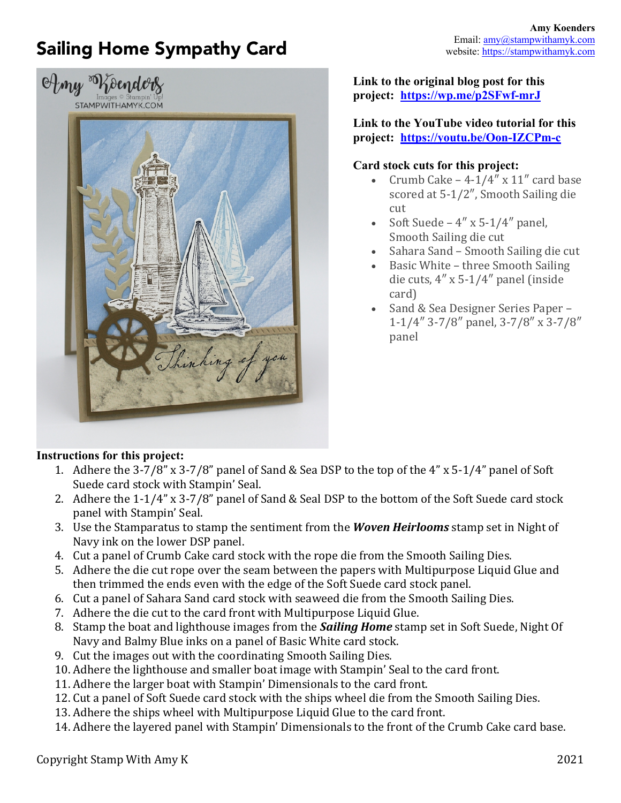## Sailing Home Sympathy Card





**Link to the original blog post for this project: https://wp.me/p2SFwf-mrJ**

**Link to the YouTube video tutorial for this project: https://youtu.be/Oon-IZCPm-c**

## **Card stock cuts for this project:**

- Crumb Cake  $-$  4-1/4"  $\times$  11" card base scored at 5-1/2", Smooth Sailing die cut
- Soft Suede  $4'' \times 5-1/4''$  panel, Smooth Sailing die cut
- Sahara Sand Smooth Sailing die cut
- Basic White three Smooth Sailing die cuts,  $4'' \times 5-1/4''$  panel (inside) card)
- Sand & Sea Designer Series Paper -1-1/4" 3-7/8" panel, 3-7/8" x 3-7/8" panel

## **Instructions for this project:**

- 1. Adhere the  $3-7/8$ " x  $3-7/8$ " panel of Sand & Sea DSP to the top of the  $4$ " x  $5-1/4$ " panel of Soft Suede card stock with Stampin' Seal.
- 2. Adhere the  $1-1/4$ " x  $3-7/8$ " panel of Sand & Seal DSP to the bottom of the Soft Suede card stock panel with Stampin' Seal.
- 3. Use the Stamparatus to stamp the sentiment from the **Woven Heirlooms** stamp set in Night of Navy ink on the lower DSP panel.
- 4. Cut a panel of Crumb Cake card stock with the rope die from the Smooth Sailing Dies.
- 5. Adhere the die cut rope over the seam between the papers with Multipurpose Liquid Glue and then trimmed the ends even with the edge of the Soft Suede card stock panel.
- 6. Cut a panel of Sahara Sand card stock with seaweed die from the Smooth Sailing Dies.
- 7. Adhere the die cut to the card front with Multipurpose Liquid Glue.
- 8. Stamp the boat and lighthouse images from the *Sailing Home* stamp set in Soft Suede, Night Of Navy and Balmy Blue inks on a panel of Basic White card stock.
- 9. Cut the images out with the coordinating Smooth Sailing Dies.
- 10. Adhere the lighthouse and smaller boat image with Stampin' Seal to the card front.
- 11. Adhere the larger boat with Stampin' Dimensionals to the card front.
- 12. Cut a panel of Soft Suede card stock with the ships wheel die from the Smooth Sailing Dies.
- 13. Adhere the ships wheel with Multipurpose Liquid Glue to the card front.
- 14. Adhere the layered panel with Stampin' Dimensionals to the front of the Crumb Cake card base.